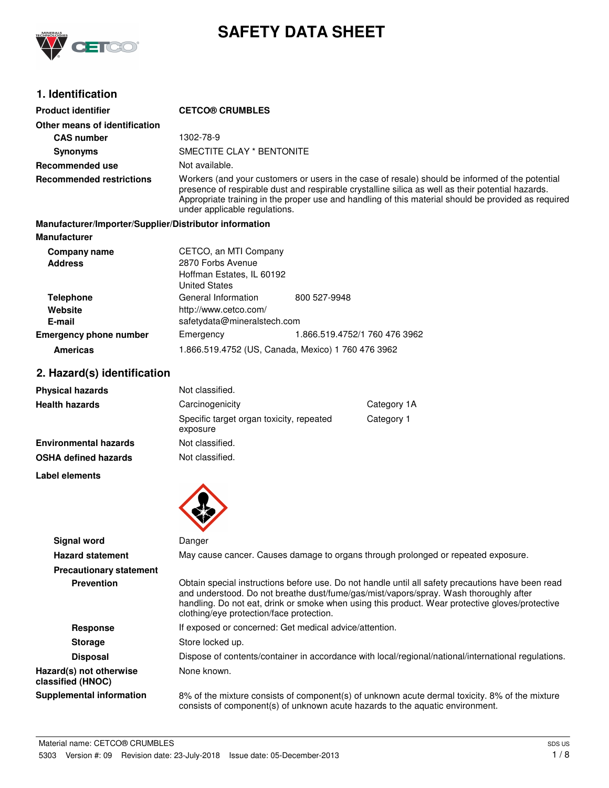

# **SAFETY DATA SHEET**

# **1. Identification**

| <b>Product identifier</b>                              | <b>CETCO® CRUMBLES</b>                                                                          |                               |                                                                                                                                                                                                                                                                                                             |
|--------------------------------------------------------|-------------------------------------------------------------------------------------------------|-------------------------------|-------------------------------------------------------------------------------------------------------------------------------------------------------------------------------------------------------------------------------------------------------------------------------------------------------------|
| Other means of identification                          |                                                                                                 |                               |                                                                                                                                                                                                                                                                                                             |
| <b>CAS number</b>                                      | 1302-78-9                                                                                       |                               |                                                                                                                                                                                                                                                                                                             |
| <b>Synonyms</b>                                        | SMECTITE CLAY * BENTONITE                                                                       |                               |                                                                                                                                                                                                                                                                                                             |
| <b>Recommended use</b>                                 | Not available.                                                                                  |                               |                                                                                                                                                                                                                                                                                                             |
| <b>Recommended restrictions</b>                        | under applicable regulations.                                                                   |                               | Workers (and your customers or users in the case of resale) should be informed of the potential<br>presence of respirable dust and respirable crystalline silica as well as their potential hazards.<br>Appropriate training in the proper use and handling of this material should be provided as required |
| Manufacturer/Importer/Supplier/Distributor information |                                                                                                 |                               |                                                                                                                                                                                                                                                                                                             |
| <b>Manufacturer</b>                                    |                                                                                                 |                               |                                                                                                                                                                                                                                                                                                             |
| <b>Company name</b><br><b>Address</b>                  | CETCO, an MTI Company<br>2870 Forbs Avenue<br>Hoffman Estates, IL 60192<br><b>United States</b> |                               |                                                                                                                                                                                                                                                                                                             |
| <b>Telephone</b>                                       | General Information                                                                             | 800 527-9948                  |                                                                                                                                                                                                                                                                                                             |
| Website<br>E-mail                                      | http://www.cetco.com/<br>safetydata@mineralstech.com                                            |                               |                                                                                                                                                                                                                                                                                                             |
| <b>Emergency phone number</b>                          | Emergency                                                                                       | 1.866.519.4752/1 760 476 3962 |                                                                                                                                                                                                                                                                                                             |
| <b>Americas</b>                                        |                                                                                                 |                               |                                                                                                                                                                                                                                                                                                             |
|                                                        | 1.866.519.4752 (US, Canada, Mexico) 1 760 476 3962                                              |                               |                                                                                                                                                                                                                                                                                                             |
| 2. Hazard(s) identification                            |                                                                                                 |                               |                                                                                                                                                                                                                                                                                                             |
| <b>Physical hazards</b>                                | Not classified.                                                                                 |                               |                                                                                                                                                                                                                                                                                                             |
| <b>Health hazards</b>                                  | Carcinogenicity                                                                                 |                               | Category 1A                                                                                                                                                                                                                                                                                                 |
|                                                        | Specific target organ toxicity, repeated<br>exposure                                            |                               | Category 1                                                                                                                                                                                                                                                                                                  |
| <b>Environmental hazards</b>                           | Not classified.                                                                                 |                               |                                                                                                                                                                                                                                                                                                             |
| <b>OSHA defined hazards</b>                            | Not classified.                                                                                 |                               |                                                                                                                                                                                                                                                                                                             |
| Label elements                                         |                                                                                                 |                               |                                                                                                                                                                                                                                                                                                             |
| Signal word                                            | Danger                                                                                          |                               |                                                                                                                                                                                                                                                                                                             |
| <b>Hazard statement</b>                                |                                                                                                 |                               | May cause cancer. Causes damage to organs through prolonged or repeated exposure.                                                                                                                                                                                                                           |
| <b>Precautionary statement</b>                         |                                                                                                 |                               |                                                                                                                                                                                                                                                                                                             |
| <b>Prevention</b>                                      | clothing/eye protection/face protection.                                                        |                               | Obtain special instructions before use. Do not handle until all safety precautions have been read<br>and understood. Do not breathe dust/fume/gas/mist/vapors/spray. Wash thoroughly after<br>handling. Do not eat, drink or smoke when using this product. Wear protective gloves/protective               |
| <b>Response</b>                                        | If exposed or concerned: Get medical advice/attention.                                          |                               |                                                                                                                                                                                                                                                                                                             |
| <b>Storage</b>                                         | Store locked up.                                                                                |                               |                                                                                                                                                                                                                                                                                                             |
| <b>Disposal</b>                                        |                                                                                                 |                               | Dispose of contents/container in accordance with local/regional/national/international regulations.                                                                                                                                                                                                         |
| Hazard(s) not otherwise<br>classified (HNOC)           | None known.                                                                                     |                               |                                                                                                                                                                                                                                                                                                             |
| <b>Supplemental information</b>                        |                                                                                                 |                               | 8% of the mixture consists of component(s) of unknown acute dermal toxicity. 8% of the mixture<br>consists of component(s) of unknown acute hazards to the aquatic environment.                                                                                                                             |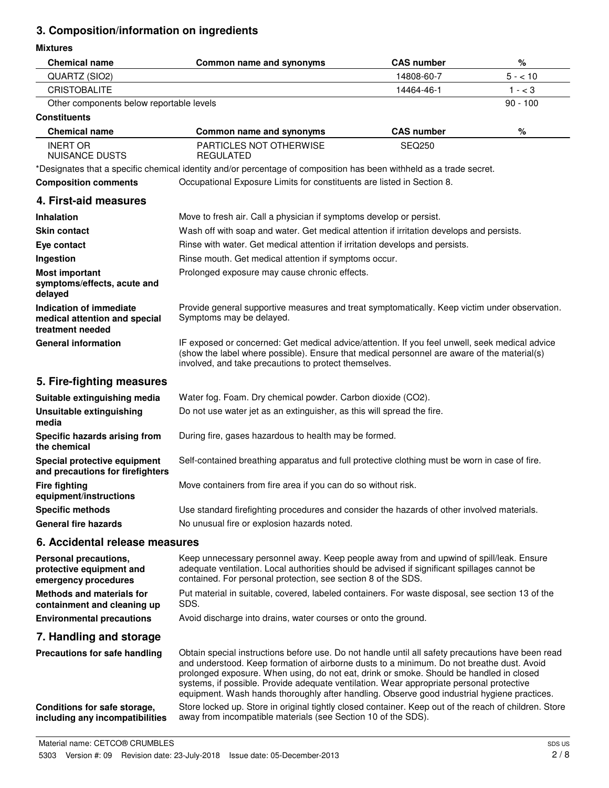# **3. Composition/information on ingredients**

## **Mixtures**

| <b>Chemical name</b>                                                         | <b>Common name and synonyms</b>                                                                                                                                                                                                                                                                                                                                                                                                                                                      | <b>CAS number</b> | %          |
|------------------------------------------------------------------------------|--------------------------------------------------------------------------------------------------------------------------------------------------------------------------------------------------------------------------------------------------------------------------------------------------------------------------------------------------------------------------------------------------------------------------------------------------------------------------------------|-------------------|------------|
| QUARTZ (SIO2)                                                                |                                                                                                                                                                                                                                                                                                                                                                                                                                                                                      | 14808-60-7        | $5 - 10$   |
| <b>CRISTOBALITE</b>                                                          |                                                                                                                                                                                                                                                                                                                                                                                                                                                                                      | 14464-46-1        | $1 - < 3$  |
| Other components below reportable levels                                     |                                                                                                                                                                                                                                                                                                                                                                                                                                                                                      |                   | $90 - 100$ |
| <b>Constituents</b>                                                          |                                                                                                                                                                                                                                                                                                                                                                                                                                                                                      |                   |            |
| <b>Chemical name</b>                                                         | Common name and synonyms                                                                                                                                                                                                                                                                                                                                                                                                                                                             | <b>CAS number</b> | $\%$       |
| <b>INERT OR</b><br><b>NUISANCE DUSTS</b>                                     | <b>PARTICLES NOT OTHERWISE</b><br><b>REGULATED</b>                                                                                                                                                                                                                                                                                                                                                                                                                                   | <b>SEQ250</b>     |            |
|                                                                              | *Designates that a specific chemical identity and/or percentage of composition has been withheld as a trade secret.                                                                                                                                                                                                                                                                                                                                                                  |                   |            |
| <b>Composition comments</b>                                                  | Occupational Exposure Limits for constituents are listed in Section 8.                                                                                                                                                                                                                                                                                                                                                                                                               |                   |            |
| 4. First-aid measures                                                        |                                                                                                                                                                                                                                                                                                                                                                                                                                                                                      |                   |            |
| <b>Inhalation</b>                                                            | Move to fresh air. Call a physician if symptoms develop or persist.                                                                                                                                                                                                                                                                                                                                                                                                                  |                   |            |
| <b>Skin contact</b>                                                          | Wash off with soap and water. Get medical attention if irritation develops and persists.                                                                                                                                                                                                                                                                                                                                                                                             |                   |            |
| Eye contact                                                                  | Rinse with water. Get medical attention if irritation develops and persists.                                                                                                                                                                                                                                                                                                                                                                                                         |                   |            |
| Ingestion                                                                    | Rinse mouth. Get medical attention if symptoms occur.                                                                                                                                                                                                                                                                                                                                                                                                                                |                   |            |
| <b>Most important</b><br>symptoms/effects, acute and<br>delayed              | Prolonged exposure may cause chronic effects.                                                                                                                                                                                                                                                                                                                                                                                                                                        |                   |            |
| Indication of immediate<br>medical attention and special<br>treatment needed | Provide general supportive measures and treat symptomatically. Keep victim under observation.<br>Symptoms may be delayed.                                                                                                                                                                                                                                                                                                                                                            |                   |            |
| <b>General information</b>                                                   | IF exposed or concerned: Get medical advice/attention. If you feel unwell, seek medical advice<br>(show the label where possible). Ensure that medical personnel are aware of the material(s)<br>involved, and take precautions to protect themselves.                                                                                                                                                                                                                               |                   |            |
| 5. Fire-fighting measures                                                    |                                                                                                                                                                                                                                                                                                                                                                                                                                                                                      |                   |            |
| Suitable extinguishing media                                                 | Water fog. Foam. Dry chemical powder. Carbon dioxide (CO2).                                                                                                                                                                                                                                                                                                                                                                                                                          |                   |            |
| <b>Unsuitable extinguishing</b><br>media                                     | Do not use water jet as an extinguisher, as this will spread the fire.                                                                                                                                                                                                                                                                                                                                                                                                               |                   |            |
| Specific hazards arising from<br>the chemical                                | During fire, gases hazardous to health may be formed.                                                                                                                                                                                                                                                                                                                                                                                                                                |                   |            |
| Special protective equipment<br>and precautions for firefighters             | Self-contained breathing apparatus and full protective clothing must be worn in case of fire.                                                                                                                                                                                                                                                                                                                                                                                        |                   |            |
| <b>Fire fighting</b><br>equipment/instructions                               | Move containers from fire area if you can do so without risk.                                                                                                                                                                                                                                                                                                                                                                                                                        |                   |            |
| <b>Specific methods</b>                                                      | Use standard firefighting procedures and consider the hazards of other involved materials.                                                                                                                                                                                                                                                                                                                                                                                           |                   |            |
| <b>General fire hazards</b>                                                  | No unusual fire or explosion hazards noted.                                                                                                                                                                                                                                                                                                                                                                                                                                          |                   |            |
| 6. Accidental release measures                                               |                                                                                                                                                                                                                                                                                                                                                                                                                                                                                      |                   |            |
| Personal precautions,<br>protective equipment and<br>emergency procedures    | Keep unnecessary personnel away. Keep people away from and upwind of spill/leak. Ensure<br>adequate ventilation. Local authorities should be advised if significant spillages cannot be<br>contained. For personal protection, see section 8 of the SDS.                                                                                                                                                                                                                             |                   |            |
| <b>Methods and materials for</b><br>containment and cleaning up              | Put material in suitable, covered, labeled containers. For waste disposal, see section 13 of the<br>SDS.                                                                                                                                                                                                                                                                                                                                                                             |                   |            |
| <b>Environmental precautions</b>                                             | Avoid discharge into drains, water courses or onto the ground.                                                                                                                                                                                                                                                                                                                                                                                                                       |                   |            |
| 7. Handling and storage                                                      |                                                                                                                                                                                                                                                                                                                                                                                                                                                                                      |                   |            |
| Precautions for safe handling                                                | Obtain special instructions before use. Do not handle until all safety precautions have been read<br>and understood. Keep formation of airborne dusts to a minimum. Do not breathe dust. Avoid<br>prolonged exposure. When using, do not eat, drink or smoke. Should be handled in closed<br>systems, if possible. Provide adequate ventilation. Wear appropriate personal protective<br>equipment. Wash hands thoroughly after handling. Observe good industrial hygiene practices. |                   |            |
| Conditions for safe storage,<br>including any incompatibilities              | Store locked up. Store in original tightly closed container. Keep out of the reach of children. Store<br>away from incompatible materials (see Section 10 of the SDS).                                                                                                                                                                                                                                                                                                               |                   |            |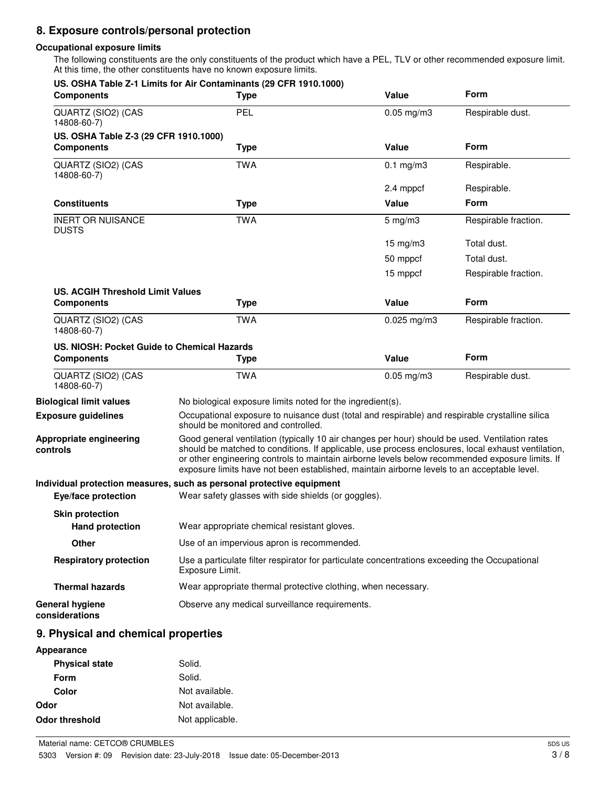# **8. Exposure controls/personal protection**

### **Occupational exposure limits**

The following constituents are the only constituents of the product which have a PEL, TLV or other recommended exposure limit. At this time, the other constituents have no known exposure limits.

| <b>Components</b>                                | US. OSHA Table Z-1 Limits for Air Contaminants (29 CFR 1910.1000)<br><b>Type</b>                                                                                                                                                                                                                                                                                                                       | Value              | Form                 |
|--------------------------------------------------|--------------------------------------------------------------------------------------------------------------------------------------------------------------------------------------------------------------------------------------------------------------------------------------------------------------------------------------------------------------------------------------------------------|--------------------|----------------------|
| QUARTZ (SIO2) (CAS<br>14808-60-7)                | <b>PEL</b>                                                                                                                                                                                                                                                                                                                                                                                             | $0.05$ mg/m $3$    | Respirable dust.     |
| US. OSHA Table Z-3 (29 CFR 1910.1000)            |                                                                                                                                                                                                                                                                                                                                                                                                        |                    |                      |
| <b>Components</b>                                | <b>Type</b>                                                                                                                                                                                                                                                                                                                                                                                            | Value              | Form                 |
| QUARTZ (SIO2) (CAS<br>14808-60-7)                | <b>TWA</b>                                                                                                                                                                                                                                                                                                                                                                                             | $0.1$ mg/m $3$     | Respirable.          |
|                                                  |                                                                                                                                                                                                                                                                                                                                                                                                        | 2.4 mppcf          | Respirable.          |
| <b>Constituents</b>                              | <b>Type</b>                                                                                                                                                                                                                                                                                                                                                                                            | Value              | Form                 |
| <b>INERT OR NUISANCE</b><br><b>DUSTS</b>         | <b>TWA</b>                                                                                                                                                                                                                                                                                                                                                                                             | $5 \text{ mg/m}$ 3 | Respirable fraction. |
|                                                  |                                                                                                                                                                                                                                                                                                                                                                                                        | $15 \text{ mg/m}$  | Total dust.          |
|                                                  |                                                                                                                                                                                                                                                                                                                                                                                                        | 50 mppcf           | Total dust.          |
|                                                  |                                                                                                                                                                                                                                                                                                                                                                                                        | 15 mppcf           | Respirable fraction. |
| US. ACGIH Threshold Limit Values                 |                                                                                                                                                                                                                                                                                                                                                                                                        |                    |                      |
| <b>Components</b>                                | <b>Type</b>                                                                                                                                                                                                                                                                                                                                                                                            | Value              | Form                 |
| QUARTZ (SIO2) (CAS<br>14808-60-7)                | <b>TWA</b>                                                                                                                                                                                                                                                                                                                                                                                             | $0.025$ mg/m3      | Respirable fraction. |
| US. NIOSH: Pocket Guide to Chemical Hazards      |                                                                                                                                                                                                                                                                                                                                                                                                        |                    |                      |
| <b>Components</b>                                | <b>Type</b>                                                                                                                                                                                                                                                                                                                                                                                            | Value              | Form                 |
| QUARTZ (SIO2) (CAS<br>14808-60-7)                | <b>TWA</b>                                                                                                                                                                                                                                                                                                                                                                                             | $0.05$ mg/m $3$    | Respirable dust.     |
| <b>Biological limit values</b>                   | No biological exposure limits noted for the ingredient(s).                                                                                                                                                                                                                                                                                                                                             |                    |                      |
| <b>Exposure guidelines</b>                       | Occupational exposure to nuisance dust (total and respirable) and respirable crystalline silica<br>should be monitored and controlled.                                                                                                                                                                                                                                                                 |                    |                      |
| Appropriate engineering<br>controls              | Good general ventilation (typically 10 air changes per hour) should be used. Ventilation rates<br>should be matched to conditions. If applicable, use process enclosures, local exhaust ventilation,<br>or other engineering controls to maintain airborne levels below recommended exposure limits. If<br>exposure limits have not been established, maintain airborne levels to an acceptable level. |                    |                      |
| Eye/face protection                              | Individual protection measures, such as personal protective equipment<br>Wear safety glasses with side shields (or goggles).                                                                                                                                                                                                                                                                           |                    |                      |
| <b>Skin protection</b><br><b>Hand protection</b> | Wear appropriate chemical resistant gloves.                                                                                                                                                                                                                                                                                                                                                            |                    |                      |
| <b>Other</b>                                     | Use of an impervious apron is recommended.                                                                                                                                                                                                                                                                                                                                                             |                    |                      |
| <b>Respiratory protection</b>                    | Use a particulate filter respirator for particulate concentrations exceeding the Occupational<br>Exposure Limit.                                                                                                                                                                                                                                                                                       |                    |                      |
| <b>Thermal hazards</b>                           | Wear appropriate thermal protective clothing, when necessary.                                                                                                                                                                                                                                                                                                                                          |                    |                      |
| <b>General hygiene</b><br>considerations         | Observe any medical surveillance requirements.                                                                                                                                                                                                                                                                                                                                                         |                    |                      |
|                                                  |                                                                                                                                                                                                                                                                                                                                                                                                        |                    |                      |
| 9. Physical and chemical properties              |                                                                                                                                                                                                                                                                                                                                                                                                        |                    |                      |
| Appearance                                       |                                                                                                                                                                                                                                                                                                                                                                                                        |                    |                      |
| <b>Physical state</b>                            | Solid.                                                                                                                                                                                                                                                                                                                                                                                                 |                    |                      |

| . ,                   |                 |
|-----------------------|-----------------|
| Form                  | Solid.          |
| Color                 | Not available.  |
| Odor                  | Not available.  |
| <b>Odor threshold</b> | Not applicable. |
|                       |                 |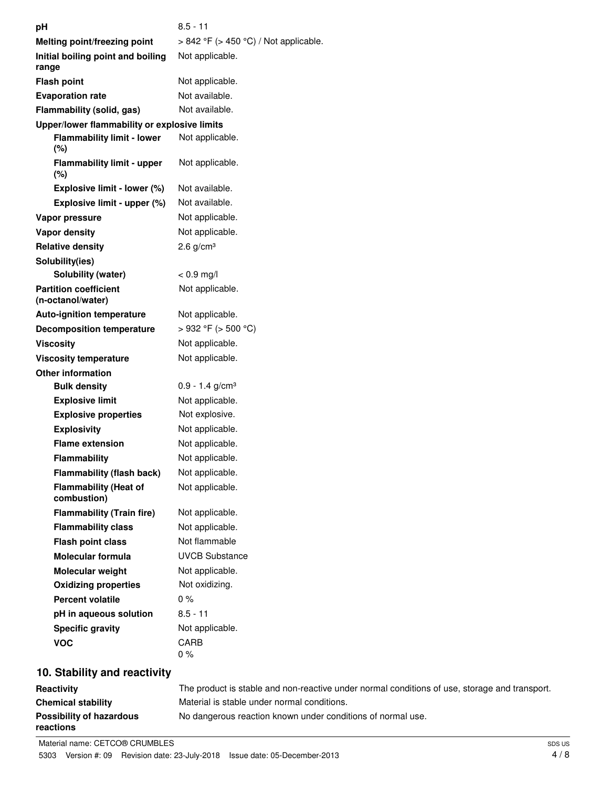| рH                                                | $8.5 - 11$                                 |
|---------------------------------------------------|--------------------------------------------|
| Melting point/freezing point                      | $> 842$ °F ( $> 450$ °C) / Not applicable. |
| Initial boiling point and boiling<br>range        | Not applicable.                            |
| <b>Flash point</b>                                | Not applicable.                            |
| <b>Evaporation rate</b>                           | Not available.                             |
| Flammability (solid, gas)                         | Not available.                             |
| Upper/lower flammability or explosive limits      |                                            |
| <b>Flammability limit - lower</b><br>(%)          | Not applicable.                            |
| <b>Flammability limit - upper</b><br>(%)          | Not applicable.                            |
| Explosive limit - lower (%)                       | Not available.                             |
| Explosive limit - upper (%)                       | Not available.                             |
| Vapor pressure                                    | Not applicable.                            |
| Vapor density                                     | Not applicable.                            |
| <b>Relative density</b>                           | $2.6$ g/cm <sup>3</sup>                    |
| Solubility(ies)                                   |                                            |
| <b>Solubility (water)</b>                         | $< 0.9$ mg/l                               |
| <b>Partition coefficient</b><br>(n-octanol/water) | Not applicable.                            |
| <b>Auto-ignition temperature</b>                  | Not applicable.                            |
| <b>Decomposition temperature</b>                  | $>932$ °F ( $>500$ °C)                     |
| <b>Viscosity</b>                                  | Not applicable.                            |
| <b>Viscosity temperature</b>                      | Not applicable.                            |
| <b>Other information</b>                          |                                            |
| <b>Bulk density</b>                               | $0.9 - 1.4$ g/cm <sup>3</sup>              |
| <b>Explosive limit</b>                            | Not applicable.                            |
| <b>Explosive properties</b>                       | Not explosive.                             |
| <b>Explosivity</b>                                | Not applicable.                            |
| <b>Flame extension</b>                            | Not applicable.                            |
| <b>Flammability</b>                               | Not applicable.                            |
| <b>Flammability (flash back)</b>                  | Not applicable.                            |
| <b>Flammability (Heat of</b><br>combustion)       | Not applicable.                            |
| <b>Flammability (Train fire)</b>                  | Not applicable.                            |
| <b>Flammability class</b>                         | Not applicable.                            |
| <b>Flash point class</b>                          | Not flammable                              |
| <b>Molecular formula</b>                          | <b>UVCB Substance</b>                      |
| <b>Molecular weight</b>                           | Not applicable.                            |
| <b>Oxidizing properties</b>                       | Not oxidizing.                             |
| <b>Percent volatile</b>                           | 0%                                         |
| pH in aqueous solution                            | $8.5 - 11$                                 |
| <b>Specific gravity</b>                           | Not applicable.                            |
| <b>VOC</b>                                        | <b>CARB</b>                                |
|                                                   | $0\%$                                      |
| $40.$ Clability and reactivity                    |                                            |

# **10. Stability and reactivity**

| <b>Reactivity</b>                            | The product is stable and non-reactive under normal conditions of use, storage and transport. |
|----------------------------------------------|-----------------------------------------------------------------------------------------------|
| <b>Chemical stability</b>                    | Material is stable under normal conditions.                                                   |
| <b>Possibility of hazardous</b><br>reactions | No dangerous reaction known under conditions of normal use.                                   |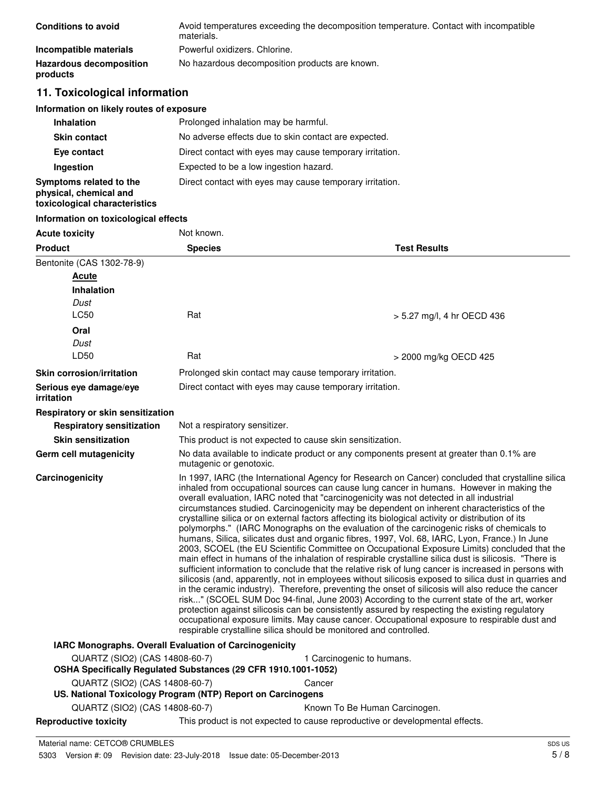| <b>Conditions to avoid</b>                 | Avoid temperatures exceeding the decomposition temperature. Contact with incompatible<br>materials. |
|--------------------------------------------|-----------------------------------------------------------------------------------------------------|
| Incompatible materials                     | Powerful oxidizers. Chlorine.                                                                       |
| <b>Hazardous decomposition</b><br>products | No hazardous decomposition products are known.                                                      |

# **11. Toxicological information**

| Information on likely routes of exposure |  |  |
|------------------------------------------|--|--|
|------------------------------------------|--|--|

| <b>Inhalation</b>                                                                  | Prolonged inhalation may be harmful.                     |
|------------------------------------------------------------------------------------|----------------------------------------------------------|
| <b>Skin contact</b>                                                                | No adverse effects due to skin contact are expected.     |
| Eye contact                                                                        | Direct contact with eyes may cause temporary irritation. |
| Ingestion                                                                          | Expected to be a low ingestion hazard.                   |
| Symptoms related to the<br>physical, chemical and<br>toxicological characteristics | Direct contact with eyes may cause temporary irritation. |

## **Information on toxicological effects**

| <b>Acute toxicity</b>                                                                            | Not known.                    |                                                                                                                                                                                                                                                                                                                                                                                                                                                                                                                                                                                                                                                                                                                                                                                                                                                                                                                                                                                                                                                                                                                                                                                                                                                                                                                                                                                                                                                                                                                                                                                                    |  |
|--------------------------------------------------------------------------------------------------|-------------------------------|----------------------------------------------------------------------------------------------------------------------------------------------------------------------------------------------------------------------------------------------------------------------------------------------------------------------------------------------------------------------------------------------------------------------------------------------------------------------------------------------------------------------------------------------------------------------------------------------------------------------------------------------------------------------------------------------------------------------------------------------------------------------------------------------------------------------------------------------------------------------------------------------------------------------------------------------------------------------------------------------------------------------------------------------------------------------------------------------------------------------------------------------------------------------------------------------------------------------------------------------------------------------------------------------------------------------------------------------------------------------------------------------------------------------------------------------------------------------------------------------------------------------------------------------------------------------------------------------------|--|
| <b>Product</b>                                                                                   | <b>Species</b>                | <b>Test Results</b>                                                                                                                                                                                                                                                                                                                                                                                                                                                                                                                                                                                                                                                                                                                                                                                                                                                                                                                                                                                                                                                                                                                                                                                                                                                                                                                                                                                                                                                                                                                                                                                |  |
| Bentonite (CAS 1302-78-9)                                                                        |                               |                                                                                                                                                                                                                                                                                                                                                                                                                                                                                                                                                                                                                                                                                                                                                                                                                                                                                                                                                                                                                                                                                                                                                                                                                                                                                                                                                                                                                                                                                                                                                                                                    |  |
| Acute                                                                                            |                               |                                                                                                                                                                                                                                                                                                                                                                                                                                                                                                                                                                                                                                                                                                                                                                                                                                                                                                                                                                                                                                                                                                                                                                                                                                                                                                                                                                                                                                                                                                                                                                                                    |  |
| <b>Inhalation</b>                                                                                |                               |                                                                                                                                                                                                                                                                                                                                                                                                                                                                                                                                                                                                                                                                                                                                                                                                                                                                                                                                                                                                                                                                                                                                                                                                                                                                                                                                                                                                                                                                                                                                                                                                    |  |
| Dust                                                                                             |                               |                                                                                                                                                                                                                                                                                                                                                                                                                                                                                                                                                                                                                                                                                                                                                                                                                                                                                                                                                                                                                                                                                                                                                                                                                                                                                                                                                                                                                                                                                                                                                                                                    |  |
| LC50                                                                                             | Rat                           | > 5.27 mg/l, 4 hr OECD 436                                                                                                                                                                                                                                                                                                                                                                                                                                                                                                                                                                                                                                                                                                                                                                                                                                                                                                                                                                                                                                                                                                                                                                                                                                                                                                                                                                                                                                                                                                                                                                         |  |
| Oral                                                                                             |                               |                                                                                                                                                                                                                                                                                                                                                                                                                                                                                                                                                                                                                                                                                                                                                                                                                                                                                                                                                                                                                                                                                                                                                                                                                                                                                                                                                                                                                                                                                                                                                                                                    |  |
| Dust                                                                                             |                               |                                                                                                                                                                                                                                                                                                                                                                                                                                                                                                                                                                                                                                                                                                                                                                                                                                                                                                                                                                                                                                                                                                                                                                                                                                                                                                                                                                                                                                                                                                                                                                                                    |  |
| LD50                                                                                             | Rat                           | > 2000 mg/kg OECD 425                                                                                                                                                                                                                                                                                                                                                                                                                                                                                                                                                                                                                                                                                                                                                                                                                                                                                                                                                                                                                                                                                                                                                                                                                                                                                                                                                                                                                                                                                                                                                                              |  |
| <b>Skin corrosion/irritation</b>                                                                 |                               | Prolonged skin contact may cause temporary irritation.                                                                                                                                                                                                                                                                                                                                                                                                                                                                                                                                                                                                                                                                                                                                                                                                                                                                                                                                                                                                                                                                                                                                                                                                                                                                                                                                                                                                                                                                                                                                             |  |
| Serious eye damage/eye<br>irritation                                                             |                               | Direct contact with eyes may cause temporary irritation.                                                                                                                                                                                                                                                                                                                                                                                                                                                                                                                                                                                                                                                                                                                                                                                                                                                                                                                                                                                                                                                                                                                                                                                                                                                                                                                                                                                                                                                                                                                                           |  |
| Respiratory or skin sensitization                                                                |                               |                                                                                                                                                                                                                                                                                                                                                                                                                                                                                                                                                                                                                                                                                                                                                                                                                                                                                                                                                                                                                                                                                                                                                                                                                                                                                                                                                                                                                                                                                                                                                                                                    |  |
| <b>Respiratory sensitization</b>                                                                 | Not a respiratory sensitizer. |                                                                                                                                                                                                                                                                                                                                                                                                                                                                                                                                                                                                                                                                                                                                                                                                                                                                                                                                                                                                                                                                                                                                                                                                                                                                                                                                                                                                                                                                                                                                                                                                    |  |
| <b>Skin sensitization</b>                                                                        |                               | This product is not expected to cause skin sensitization.                                                                                                                                                                                                                                                                                                                                                                                                                                                                                                                                                                                                                                                                                                                                                                                                                                                                                                                                                                                                                                                                                                                                                                                                                                                                                                                                                                                                                                                                                                                                          |  |
| Germ cell mutagenicity                                                                           |                               | No data available to indicate product or any components present at greater than 0.1% are<br>mutagenic or genotoxic.                                                                                                                                                                                                                                                                                                                                                                                                                                                                                                                                                                                                                                                                                                                                                                                                                                                                                                                                                                                                                                                                                                                                                                                                                                                                                                                                                                                                                                                                                |  |
| Carcinogenicity                                                                                  |                               | In 1997, IARC (the International Agency for Research on Cancer) concluded that crystalline silica<br>inhaled from occupational sources can cause lung cancer in humans. However in making the<br>overall evaluation, IARC noted that "carcinogenicity was not detected in all industrial<br>circumstances studied. Carcinogenicity may be dependent on inherent characteristics of the<br>crystalline silica or on external factors affecting its biological activity or distribution of its<br>polymorphs." (IARC Monographs on the evaluation of the carcinogenic risks of chemicals to<br>humans, Silica, silicates dust and organic fibres, 1997, Vol. 68, IARC, Lyon, France.) In June<br>2003, SCOEL (the EU Scientific Committee on Occupational Exposure Limits) concluded that the<br>main effect in humans of the inhalation of respirable crystalline silica dust is silicosis. "There is<br>sufficient information to conclude that the relative risk of lung cancer is increased in persons with<br>silicosis (and, apparently, not in employees without silicosis exposed to silica dust in quarries and<br>in the ceramic industry). Therefore, preventing the onset of silicosis will also reduce the cancer<br>risk" (SCOEL SUM Doc 94-final, June 2003) According to the current state of the art, worker<br>protection against silicosis can be consistently assured by respecting the existing regulatory<br>occupational exposure limits. May cause cancer. Occupational exposure to respirable dust and<br>respirable crystalline silica should be monitored and controlled. |  |
| IARC Monographs. Overall Evaluation of Carcinogenicity                                           |                               |                                                                                                                                                                                                                                                                                                                                                                                                                                                                                                                                                                                                                                                                                                                                                                                                                                                                                                                                                                                                                                                                                                                                                                                                                                                                                                                                                                                                                                                                                                                                                                                                    |  |
| QUARTZ (SIO2) (CAS 14808-60-7)<br>OSHA Specifically Regulated Substances (29 CFR 1910.1001-1052) |                               | 1 Carcinogenic to humans.                                                                                                                                                                                                                                                                                                                                                                                                                                                                                                                                                                                                                                                                                                                                                                                                                                                                                                                                                                                                                                                                                                                                                                                                                                                                                                                                                                                                                                                                                                                                                                          |  |
| QUARTZ (SIO2) (CAS 14808-60-7)                                                                   |                               | Cancer                                                                                                                                                                                                                                                                                                                                                                                                                                                                                                                                                                                                                                                                                                                                                                                                                                                                                                                                                                                                                                                                                                                                                                                                                                                                                                                                                                                                                                                                                                                                                                                             |  |
| US. National Toxicology Program (NTP) Report on Carcinogens                                      |                               |                                                                                                                                                                                                                                                                                                                                                                                                                                                                                                                                                                                                                                                                                                                                                                                                                                                                                                                                                                                                                                                                                                                                                                                                                                                                                                                                                                                                                                                                                                                                                                                                    |  |
| QUARTZ (SIO2) (CAS 14808-60-7)                                                                   |                               | Known To Be Human Carcinogen.                                                                                                                                                                                                                                                                                                                                                                                                                                                                                                                                                                                                                                                                                                                                                                                                                                                                                                                                                                                                                                                                                                                                                                                                                                                                                                                                                                                                                                                                                                                                                                      |  |
| <b>Reproductive toxicity</b>                                                                     |                               | This product is not expected to cause reproductive or developmental effects.                                                                                                                                                                                                                                                                                                                                                                                                                                                                                                                                                                                                                                                                                                                                                                                                                                                                                                                                                                                                                                                                                                                                                                                                                                                                                                                                                                                                                                                                                                                       |  |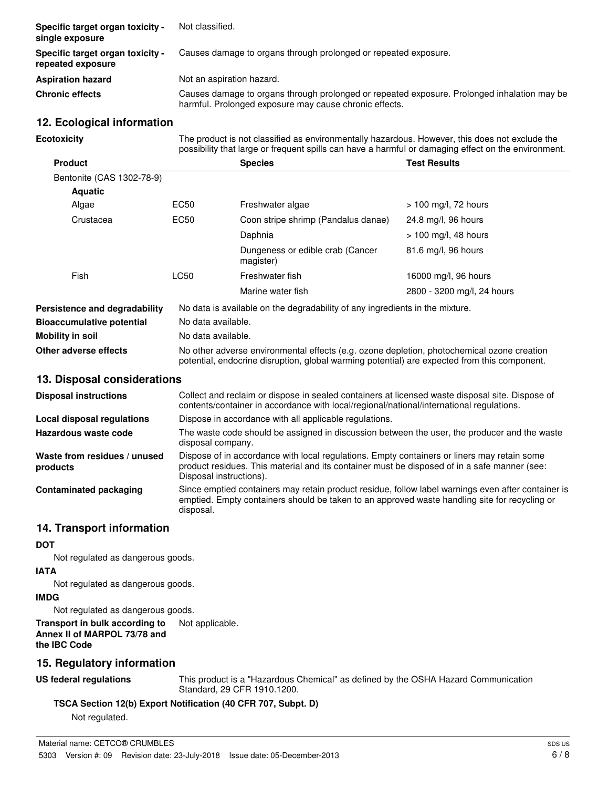| Specific target organ toxicity -<br>single exposure   | Not classified.                                                                                                                                       |
|-------------------------------------------------------|-------------------------------------------------------------------------------------------------------------------------------------------------------|
| Specific target organ toxicity -<br>repeated exposure | Causes damage to organs through prolonged or repeated exposure.                                                                                       |
| <b>Aspiration hazard</b>                              | Not an aspiration hazard.                                                                                                                             |
| <b>Chronic effects</b>                                | Causes damage to organs through prolonged or repeated exposure. Prolonged inhalation may be<br>harmful. Prolonged exposure may cause chronic effects. |

## **12. Ecological information**

**Ecotoxicity**

The product is not classified as environmentally hazardous. However, this does not exclude the possibility that large or frequent spills can have a harmful or damaging effect on the environment.

| <b>Product</b>                   |                                                                                                                                                                                            | <b>Species</b>                                                               | <b>Test Results</b>        |
|----------------------------------|--------------------------------------------------------------------------------------------------------------------------------------------------------------------------------------------|------------------------------------------------------------------------------|----------------------------|
| Bentonite (CAS 1302-78-9)        |                                                                                                                                                                                            |                                                                              |                            |
| <b>Aquatic</b>                   |                                                                                                                                                                                            |                                                                              |                            |
| Algae                            | EC50                                                                                                                                                                                       | Freshwater algae                                                             | $> 100$ mg/l, 72 hours     |
| Crustacea                        | EC50                                                                                                                                                                                       | Coon stripe shrimp (Pandalus danae)                                          | 24.8 mg/l, 96 hours        |
|                                  |                                                                                                                                                                                            | Daphnia                                                                      | $> 100$ mg/l, 48 hours     |
|                                  |                                                                                                                                                                                            | Dungeness or edible crab (Cancer<br>magister)                                | 81.6 mg/l, 96 hours        |
| <b>Fish</b>                      | LC50                                                                                                                                                                                       | Freshwater fish                                                              | 16000 mg/l, 96 hours       |
|                                  |                                                                                                                                                                                            | Marine water fish                                                            | 2800 - 3200 mg/l, 24 hours |
| Persistence and degradability    |                                                                                                                                                                                            | No data is available on the degradability of any ingredients in the mixture. |                            |
| <b>Bioaccumulative potential</b> | No data available.                                                                                                                                                                         |                                                                              |                            |
| Mobility in soil                 | No data available.                                                                                                                                                                         |                                                                              |                            |
| Other adverse effects            | No other adverse environmental effects (e.g. ozone depletion, photochemical ozone creation<br>potential, endocrine disruption, global warming potential) are expected from this component. |                                                                              |                            |
| 13. Disposal considerations      |                                                                                                                                                                                            |                                                                              |                            |

| <b>Disposal instructions</b>             | Collect and reclaim or dispose in sealed containers at licensed waste disposal site. Dispose of<br>contents/container in accordance with local/regional/national/international regulations.                            |  |
|------------------------------------------|------------------------------------------------------------------------------------------------------------------------------------------------------------------------------------------------------------------------|--|
| Local disposal regulations               | Dispose in accordance with all applicable regulations.                                                                                                                                                                 |  |
| Hazardous waste code                     | The waste code should be assigned in discussion between the user, the producer and the waste<br>disposal company.                                                                                                      |  |
| Waste from residues / unused<br>products | Dispose of in accordance with local regulations. Empty containers or liners may retain some<br>product residues. This material and its container must be disposed of in a safe manner (see:<br>Disposal instructions). |  |
| Contaminated packaging                   | Since emptied containers may retain product residue, follow label warnings even after container is<br>emptied. Empty containers should be taken to an approved waste handling site for recycling or<br>disposal.       |  |

# **14. Transport information**

# **DOT**

Not regulated as dangerous goods.

**IATA**

Not regulated as dangerous goods.

# **IMDG**

Not regulated as dangerous goods.

**Transport in bulk according to** Not applicable. **Annex II of MARPOL 73/78 and the IBC Code**

# **15. Regulatory information**

**US federal regulations**

This product is a "Hazardous Chemical" as defined by the OSHA Hazard Communication Standard, 29 CFR 1910.1200.

# **TSCA Section 12(b) Export Notification (40 CFR 707, Subpt. D)**

Not regulated.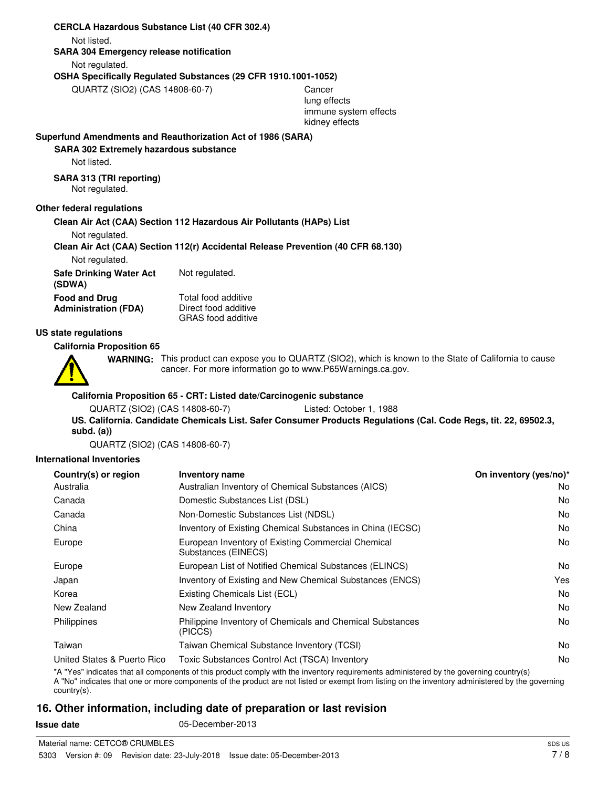#### **CERCLA Hazardous Substance List (40 CFR 302.4)**

Not listed.

**SARA 304 Emergency release notification**

Not regulated.

#### **OSHA Specifically Regulated Substances (29 CFR 1910.1001-1052)**

QUARTZ (SIO2) (CAS 14808-60-7) Cancer

lung effects immune system effects kidney effects

#### **Superfund Amendments and Reauthorization Act of 1986 (SARA)**

#### **SARA 302 Extremely hazardous substance**

Not listed.

#### **SARA 313 (TRI reporting)**

Not regulated.

### **Other federal regulations**

#### **Clean Air Act (CAA) Section 112 Hazardous Air Pollutants (HAPs) List**

Not regulated.

**Clean Air Act (CAA) Section 112(r) Accidental Release Prevention (40 CFR 68.130)**

Not regulated.

**Safe Drinking Water Act** Not regulated. **(SDWA)** Total food additive Direct food additive GRAS food additive **Food and Drug Administration (FDA)**

#### **US state regulations**

#### **California Proposition 65**



WARNING: This product can expose you to QUARTZ (SIO2), which is known to the State of California to cause cancer. For more information go to www.P65Warnings.ca.gov.

#### **California Proposition 65 - CRT: Listed date/Carcinogenic substance**

```
QUARTZ (SIO2) (CAS 14808-60-7) Listed: October 1, 1988
```
**US. California. Candidate Chemicals List. Safer Consumer Products Regulations (Cal. Code Regs, tit. 22, 69502.3, subd. (a))**

QUARTZ (SIO2) (CAS 14808-60-7)

#### **International Inventories**

| Country(s) or region        | Inventory name                                                            | On inventory (yes/no)* |
|-----------------------------|---------------------------------------------------------------------------|------------------------|
| Australia                   | Australian Inventory of Chemical Substances (AICS)                        | No.                    |
| Canada                      | Domestic Substances List (DSL)                                            | No.                    |
| Canada                      | Non-Domestic Substances List (NDSL)                                       | No.                    |
| China                       | Inventory of Existing Chemical Substances in China (IECSC)                | No.                    |
| Europe                      | European Inventory of Existing Commercial Chemical<br>Substances (EINECS) | No.                    |
| Europe                      | European List of Notified Chemical Substances (ELINCS)                    | No.                    |
| Japan                       | Inventory of Existing and New Chemical Substances (ENCS)                  | Yes                    |
| Korea                       | Existing Chemicals List (ECL)                                             | No.                    |
| New Zealand                 | New Zealand Inventory                                                     | No.                    |
| Philippines                 | Philippine Inventory of Chemicals and Chemical Substances<br>(PICCS)      | No.                    |
| Taiwan                      | Taiwan Chemical Substance Inventory (TCSI)                                | No.                    |
| United States & Puerto Rico | Toxic Substances Control Act (TSCA) Inventory                             | No.                    |

\*A "Yes" indicates that all components of this product comply with the inventory requirements administered by the governing country(s)

A "No" indicates that one or more components of the product are not listed or exempt from listing on the inventory administered by the governing country(s).

# **16. Other information, including date of preparation or last revision**

**Issue date** 05-December-2013